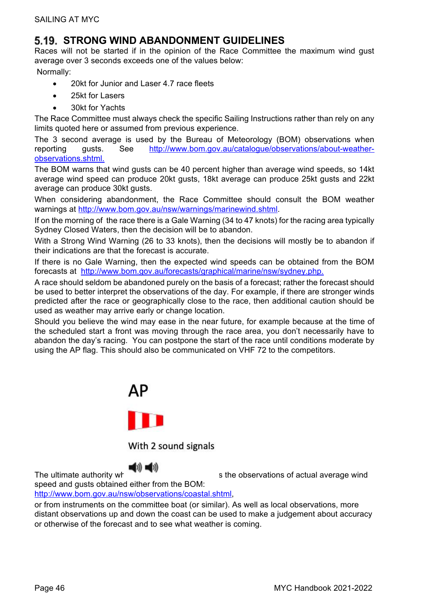## **STRONG WIND ABANDONMENT GUIDELINES**

Races will not be started if in the opinion of the Race Committee the maximum wind gust average over 3 seconds exceeds one of the values below:

Normally:

- 20kt for Junior and Laser 4.7 race fleets
- 25kt for Lasers
- 30kt for Yachts

The Race Committee must always check the specific Sailing Instructions rather than rely on any limits quoted here or assumed from previous experience.

The 3 second average is used by the Bureau of Meteorology (BOM) observations when reporting gusts. See http://www.bom.gov.au/catalogue/observations/about-weatherobservations.shtml.

The BOM warns that wind gusts can be 40 percent higher than average wind speeds, so 14kt average wind speed can produce 20kt gusts, 18kt average can produce 25kt gusts and 22kt average can produce 30kt gusts.

When considering abandonment, the Race Committee should consult the BOM weather warnings at http://www.bom.gov.au/nsw/warnings/marinewind.shtml.

If on the morning of the race there is a Gale Warning (34 to 47 knots) for the racing area typically Sydney Closed Waters, then the decision will be to abandon.

With a Strong Wind Warning (26 to 33 knots), then the decisions will mostly be to abandon if their indications are that the forecast is accurate.

If there is no Gale Warning, then the expected wind speeds can be obtained from the BOM forecasts at http://www.bom.gov.au/forecasts/graphical/marine/nsw/sydney.php.

A race should seldom be abandoned purely on the basis of a forecast; rather the forecast should be used to better interpret the observations of the day. For example, if there are stronger winds predicted after the race or geographically close to the race, then additional caution should be used as weather may arrive early or change location.

Should you believe the wind may ease in the near future, for example because at the time of the scheduled start a front was moving through the race area, you don't necessarily have to abandon the day's racing. You can postpone the start of the race until conditions moderate by using the AP flag. This should also be communicated on VHF 72 to the competitors.



With 2 sound signals



The ultimate authority when  $\mathbb{R}$  is the observations of actual average wind

speed and gusts obtained either from the BOM:

http://www.bom.gov.au/nsw/observations/coastal.shtml,

or from instruments on the committee boat (or similar). As well as local observations, more distant observations up and down the coast can be used to make a judgement about accuracy or otherwise of the forecast and to see what weather is coming.